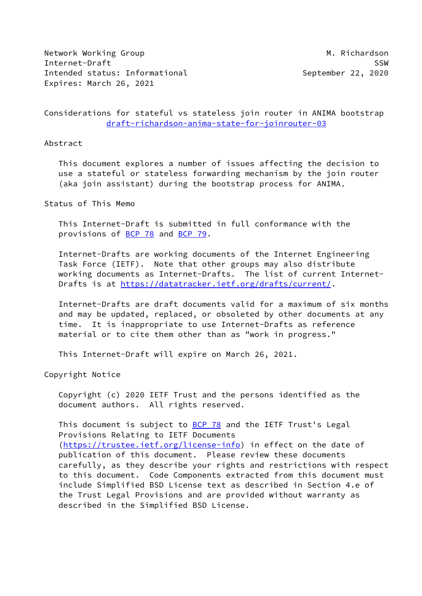Network Working Group **M. Richardson** Internet-Draft SSW Intended status: Informational example the September 22, 2020 Expires: March 26, 2021

Considerations for stateful vs stateless join router in ANIMA bootstrap [draft-richardson-anima-state-for-joinrouter-03](https://datatracker.ietf.org/doc/pdf/draft-richardson-anima-state-for-joinrouter-03)

### Abstract

 This document explores a number of issues affecting the decision to use a stateful or stateless forwarding mechanism by the join router (aka join assistant) during the bootstrap process for ANIMA.

Status of This Memo

 This Internet-Draft is submitted in full conformance with the provisions of [BCP 78](https://datatracker.ietf.org/doc/pdf/bcp78) and [BCP 79](https://datatracker.ietf.org/doc/pdf/bcp79).

 Internet-Drafts are working documents of the Internet Engineering Task Force (IETF). Note that other groups may also distribute working documents as Internet-Drafts. The list of current Internet Drafts is at<https://datatracker.ietf.org/drafts/current/>.

 Internet-Drafts are draft documents valid for a maximum of six months and may be updated, replaced, or obsoleted by other documents at any time. It is inappropriate to use Internet-Drafts as reference material or to cite them other than as "work in progress."

This Internet-Draft will expire on March 26, 2021.

Copyright Notice

 Copyright (c) 2020 IETF Trust and the persons identified as the document authors. All rights reserved.

This document is subject to **[BCP 78](https://datatracker.ietf.org/doc/pdf/bcp78)** and the IETF Trust's Legal Provisions Relating to IETF Documents [\(https://trustee.ietf.org/license-info](https://trustee.ietf.org/license-info)) in effect on the date of publication of this document. Please review these documents carefully, as they describe your rights and restrictions with respect to this document. Code Components extracted from this document must include Simplified BSD License text as described in Section 4.e of the Trust Legal Provisions and are provided without warranty as described in the Simplified BSD License.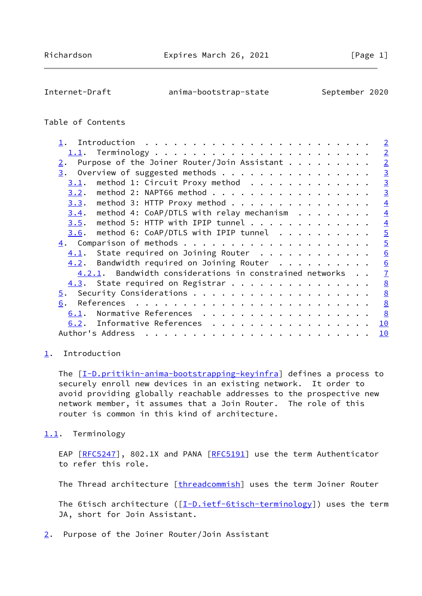<span id="page-1-1"></span>Internet-Draft anima-bootstrap-state September 2020

# Table of Contents

|  | $\overline{2}$                                                                                                                                                                                                                                                                                                                                                                                                                                                                                                                                                     |
|--|--------------------------------------------------------------------------------------------------------------------------------------------------------------------------------------------------------------------------------------------------------------------------------------------------------------------------------------------------------------------------------------------------------------------------------------------------------------------------------------------------------------------------------------------------------------------|
|  | $\overline{2}$                                                                                                                                                                                                                                                                                                                                                                                                                                                                                                                                                     |
|  | $\overline{2}$                                                                                                                                                                                                                                                                                                                                                                                                                                                                                                                                                     |
|  | $\overline{3}$                                                                                                                                                                                                                                                                                                                                                                                                                                                                                                                                                     |
|  | $\overline{3}$                                                                                                                                                                                                                                                                                                                                                                                                                                                                                                                                                     |
|  | $\overline{3}$                                                                                                                                                                                                                                                                                                                                                                                                                                                                                                                                                     |
|  | $\overline{4}$                                                                                                                                                                                                                                                                                                                                                                                                                                                                                                                                                     |
|  | $\overline{4}$                                                                                                                                                                                                                                                                                                                                                                                                                                                                                                                                                     |
|  | $\overline{4}$                                                                                                                                                                                                                                                                                                                                                                                                                                                                                                                                                     |
|  | $\overline{5}$                                                                                                                                                                                                                                                                                                                                                                                                                                                                                                                                                     |
|  | $\overline{5}$                                                                                                                                                                                                                                                                                                                                                                                                                                                                                                                                                     |
|  | 6                                                                                                                                                                                                                                                                                                                                                                                                                                                                                                                                                                  |
|  | $\underline{6}$                                                                                                                                                                                                                                                                                                                                                                                                                                                                                                                                                    |
|  | $\overline{1}$                                                                                                                                                                                                                                                                                                                                                                                                                                                                                                                                                     |
|  | 8                                                                                                                                                                                                                                                                                                                                                                                                                                                                                                                                                                  |
|  | $\underline{8}$                                                                                                                                                                                                                                                                                                                                                                                                                                                                                                                                                    |
|  | $\underline{8}$                                                                                                                                                                                                                                                                                                                                                                                                                                                                                                                                                    |
|  | $\frac{8}{2}$                                                                                                                                                                                                                                                                                                                                                                                                                                                                                                                                                      |
|  | 10                                                                                                                                                                                                                                                                                                                                                                                                                                                                                                                                                                 |
|  | 10                                                                                                                                                                                                                                                                                                                                                                                                                                                                                                                                                                 |
|  | Purpose of the Joiner Router/Join Assistant $\dots$<br>Overview of suggested methods<br>method 1: Circuit Proxy method<br>method 2: NAPT66 method<br>method 3: HTTP Proxy method<br>method 4: CoAP/DTLS with relay mechanism $\ldots$<br>method 5: HTTP with IPIP tunnel<br>method 6: CoAP/DTLS with IPIP tunnel<br>$4.1$ . State required on Joining Router<br>$4.2$ . Bandwidth required on Joining Router<br>4.2.1. Bandwidth considerations in constrained networks<br>4.3. State required on Registrar<br>Normative References<br>6.2. Informative References |

## <span id="page-1-0"></span>[1](#page-1-0). Introduction

The [\[I-D.pritikin-anima-bootstrapping-keyinfra](#page-9-0)] defines a process to securely enroll new devices in an existing network. It order to avoid providing globally reachable addresses to the prospective new network member, it assumes that a Join Router. The role of this router is common in this kind of architecture.

## <span id="page-1-2"></span>[1.1](#page-1-2). Terminology

EAP [\[RFC5247](https://datatracker.ietf.org/doc/pdf/rfc5247)], 802.1X and PANA [\[RFC5191](https://datatracker.ietf.org/doc/pdf/rfc5191)] use the term Authenticator to refer this role.

The Thread architecture [\[threadcommish](#page-10-2)] uses the term Joiner Router

The 6tisch architecture ( $[I-D.ietf-6tisch-terminology]$  $[I-D.ietf-6tisch-terminology]$ ) uses the term JA, short for Join Assistant.

<span id="page-1-3"></span>[2](#page-1-3). Purpose of the Joiner Router/Join Assistant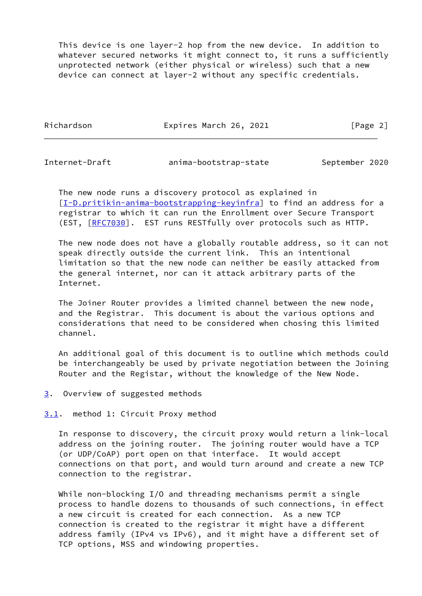This device is one layer-2 hop from the new device. In addition to whatever secured networks it might connect to, it runs a sufficiently unprotected network (either physical or wireless) such that a new device can connect at layer-2 without any specific credentials.

Richardson **Expires March 26, 2021** [Page 2]

<span id="page-2-1"></span>Internet-Draft anima-bootstrap-state September 2020

 The new node runs a discovery protocol as explained in [\[I-D.pritikin-anima-bootstrapping-keyinfra](#page-9-0)] to find an address for a registrar to which it can run the Enrollment over Secure Transport (EST, [[RFC7030](https://datatracker.ietf.org/doc/pdf/rfc7030)]. EST runs RESTfully over protocols such as HTTP.

 The new node does not have a globally routable address, so it can not speak directly outside the current link. This an intentional limitation so that the new node can neither be easily attacked from the general internet, nor can it attack arbitrary parts of the Internet.

 The Joiner Router provides a limited channel between the new node, and the Registrar. This document is about the various options and considerations that need to be considered when chosing this limited channel.

 An additional goal of this document is to outline which methods could be interchangeably be used by private negotiation between the Joining Router and the Registar, without the knowledge of the New Node.

<span id="page-2-0"></span>[3](#page-2-0). Overview of suggested methods

<span id="page-2-2"></span>[3.1](#page-2-2). method 1: Circuit Proxy method

 In response to discovery, the circuit proxy would return a link-local address on the joining router. The joining router would have a TCP (or UDP/CoAP) port open on that interface. It would accept connections on that port, and would turn around and create a new TCP connection to the registrar.

While non-blocking I/O and threading mechanisms permit a single process to handle dozens to thousands of such connections, in effect a new circuit is created for each connection. As a new TCP connection is created to the registrar it might have a different address family (IPv4 vs IPv6), and it might have a different set of TCP options, MSS and windowing properties.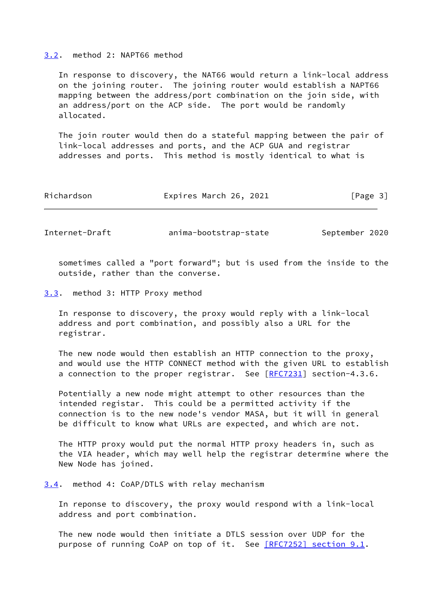#### <span id="page-3-0"></span>[3.2](#page-3-0). method 2: NAPT66 method

 In response to discovery, the NAT66 would return a link-local address on the joining router. The joining router would establish a NAPT66 mapping between the address/port combination on the join side, with an address/port on the ACP side. The port would be randomly allocated.

 The join router would then do a stateful mapping between the pair of link-local addresses and ports, and the ACP GUA and registrar addresses and ports. This method is mostly identical to what is

| Richardson | Expires March 26, 2021 | [Page 3] |
|------------|------------------------|----------|
|            |                        |          |

<span id="page-3-2"></span>Internet-Draft anima-bootstrap-state September 2020

 sometimes called a "port forward"; but is used from the inside to the outside, rather than the converse.

<span id="page-3-1"></span>[3.3](#page-3-1). method 3: HTTP Proxy method

 In response to discovery, the proxy would reply with a link-local address and port combination, and possibly also a URL for the registrar.

 The new node would then establish an HTTP connection to the proxy, and would use the HTTP CONNECT method with the given URL to establish a connection to the proper registrar. See [[RFC7231\]](https://datatracker.ietf.org/doc/pdf/rfc7231) section-4.3.6.

 Potentially a new node might attempt to other resources than the intended registar. This could be a permitted activity if the connection is to the new node's vendor MASA, but it will in general be difficult to know what URLs are expected, and which are not.

 The HTTP proxy would put the normal HTTP proxy headers in, such as the VIA header, which may well help the registrar determine where the New Node has joined.

<span id="page-3-3"></span>[3.4](#page-3-3). method 4: CoAP/DTLS with relay mechanism

 In reponse to discovery, the proxy would respond with a link-local address and port combination.

 The new node would then initiate a DTLS session over UDP for the purpose of running CoAP on top of it. See [\[RFC7252\] section](https://datatracker.ietf.org/doc/pdf/rfc7252#section-9.1) 9.1.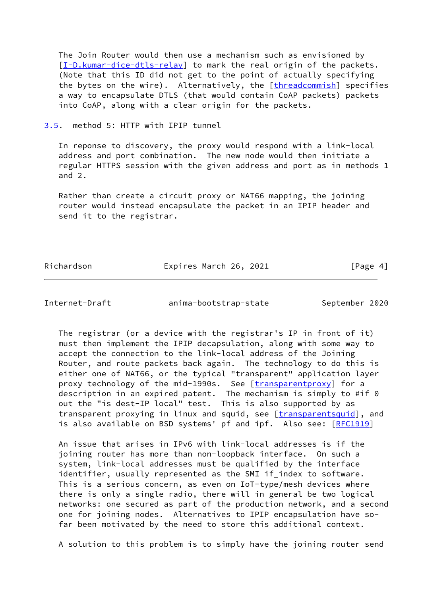The Join Router would then use a mechanism such as envisioned by [\[I-D.kumar-dice-dtls-relay](#page-9-1)] to mark the real origin of the packets. (Note that this ID did not get to the point of actually specifying the bytes on the wire). Alternatively, the [\[threadcommish](#page-10-2)] specifies a way to encapsulate DTLS (that would contain CoAP packets) packets into CoAP, along with a clear origin for the packets.

<span id="page-4-0"></span>[3.5](#page-4-0). method 5: HTTP with IPIP tunnel

 In reponse to discovery, the proxy would respond with a link-local address and port combination. The new node would then initiate a regular HTTPS session with the given address and port as in methods 1 and 2.

 Rather than create a circuit proxy or NAT66 mapping, the joining router would instead encapsulate the packet in an IPIP header and send it to the registrar.

Richardson **Expires March 26, 2021** [Page 4]

<span id="page-4-1"></span>

Internet-Draft anima-bootstrap-state September 2020

 The registrar (or a device with the registrar's IP in front of it) must then implement the IPIP decapsulation, along with some way to accept the connection to the link-local address of the Joining Router, and route packets back again. The technology to do this is either one of NAT66, or the typical "transparent" application layer proxy technology of the mid-1990s. See [\[transparentproxy](#page-10-3)] for a description in an expired patent. The mechanism is simply to #if 0 out the "is dest-IP local" test. This is also supported by as transparent proxying in linux and squid, see [\[transparentsquid](#page-10-4)], and is also available on BSD systems' pf and ipf. Also see: [\[RFC1919](https://datatracker.ietf.org/doc/pdf/rfc1919)]

 An issue that arises in IPv6 with link-local addresses is if the joining router has more than non-loopback interface. On such a system, link-local addresses must be qualified by the interface identifier, usually represented as the SMI if\_index to software. This is a serious concern, as even on IoT-type/mesh devices where there is only a single radio, there will in general be two logical networks: one secured as part of the production network, and a second one for joining nodes. Alternatives to IPIP encapsulation have so far been motivated by the need to store this additional context.

A solution to this problem is to simply have the joining router send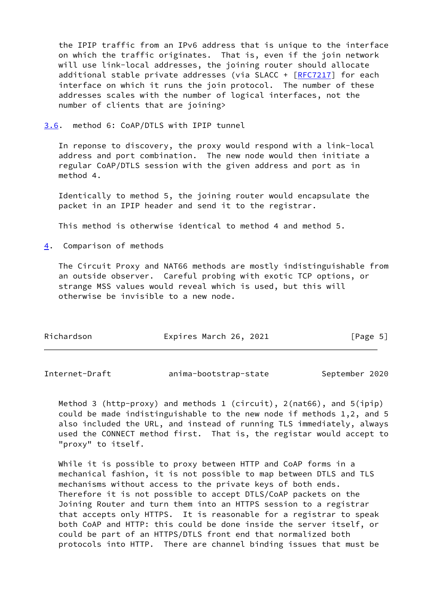the IPIP traffic from an IPv6 address that is unique to the interface on which the traffic originates. That is, even if the join network will use link-local addresses, the joining router should allocate additional stable private addresses (via SLACC + [\[RFC7217](https://datatracker.ietf.org/doc/pdf/rfc7217)] for each interface on which it runs the join protocol. The number of these addresses scales with the number of logical interfaces, not the number of clients that are joining>

<span id="page-5-0"></span>[3.6](#page-5-0). method 6: CoAP/DTLS with IPIP tunnel

 In reponse to discovery, the proxy would respond with a link-local address and port combination. The new node would then initiate a regular CoAP/DTLS session with the given address and port as in method 4.

 Identically to method 5, the joining router would encapsulate the packet in an IPIP header and send it to the registrar.

This method is otherwise identical to method 4 and method 5.

<span id="page-5-1"></span>[4](#page-5-1). Comparison of methods

 The Circuit Proxy and NAT66 methods are mostly indistinguishable from an outside observer. Careful probing with exotic TCP options, or strange MSS values would reveal which is used, but this will otherwise be invisible to a new node.

| Richardson | Expires March 26, 2021 | [Page 5] |
|------------|------------------------|----------|
|------------|------------------------|----------|

<span id="page-5-2"></span>Internet-Draft anima-bootstrap-state September 2020

 Method 3 (http-proxy) and methods 1 (circuit), 2(nat66), and 5(ipip) could be made indistinguishable to the new node if methods 1,2, and 5 also included the URL, and instead of running TLS immediately, always used the CONNECT method first. That is, the registar would accept to "proxy" to itself.

 While it is possible to proxy between HTTP and CoAP forms in a mechanical fashion, it is not possible to map between DTLS and TLS mechanisms without access to the private keys of both ends. Therefore it is not possible to accept DTLS/CoAP packets on the Joining Router and turn them into an HTTPS session to a registrar that accepts only HTTPS. It is reasonable for a registrar to speak both CoAP and HTTP: this could be done inside the server itself, or could be part of an HTTPS/DTLS front end that normalized both protocols into HTTP. There are channel binding issues that must be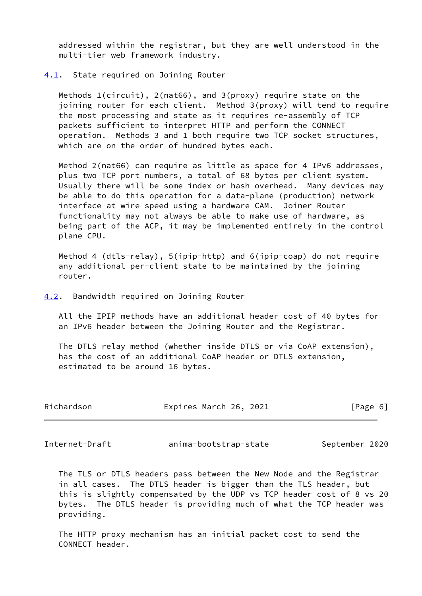addressed within the registrar, but they are well understood in the multi-tier web framework industry.

### <span id="page-6-0"></span>[4.1](#page-6-0). State required on Joining Router

 Methods 1(circuit), 2(nat66), and 3(proxy) require state on the joining router for each client. Method 3(proxy) will tend to require the most processing and state as it requires re-assembly of TCP packets sufficient to interpret HTTP and perform the CONNECT operation. Methods 3 and 1 both require two TCP socket structures, which are on the order of hundred bytes each.

Method 2(nat66) can require as little as space for 4 IPv6 addresses, plus two TCP port numbers, a total of 68 bytes per client system. Usually there will be some index or hash overhead. Many devices may be able to do this operation for a data-plane (production) network interface at wire speed using a hardware CAM. Joiner Router functionality may not always be able to make use of hardware, as being part of the ACP, it may be implemented entirely in the control plane CPU.

 Method 4 (dtls-relay), 5(ipip-http) and 6(ipip-coap) do not require any additional per-client state to be maintained by the joining router.

<span id="page-6-1"></span>[4.2](#page-6-1). Bandwidth required on Joining Router

 All the IPIP methods have an additional header cost of 40 bytes for an IPv6 header between the Joining Router and the Registrar.

 The DTLS relay method (whether inside DTLS or via CoAP extension), has the cost of an additional CoAP header or DTLS extension, estimated to be around 16 bytes.

| Richardson | Expires March 26, 2021 | [Page 6] |
|------------|------------------------|----------|
|            |                        |          |

<span id="page-6-2"></span>Internet-Draft anima-bootstrap-state September 2020

 The TLS or DTLS headers pass between the New Node and the Registrar in all cases. The DTLS header is bigger than the TLS header, but this is slightly compensated by the UDP vs TCP header cost of 8 vs 20 bytes. The DTLS header is providing much of what the TCP header was providing.

 The HTTP proxy mechanism has an initial packet cost to send the CONNECT header.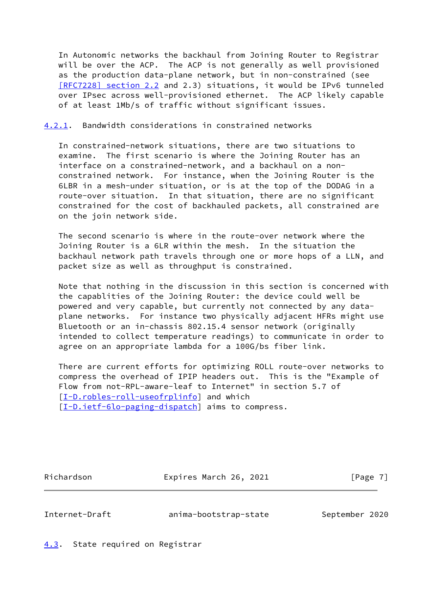In Autonomic networks the backhaul from Joining Router to Registrar will be over the ACP. The ACP is not generally as well provisioned as the production data-plane network, but in non-constrained (see [\[RFC7228\] section](https://datatracker.ietf.org/doc/pdf/rfc7228#section-2.2) 2.2 and 2.3) situations, it would be IPv6 tunneled over IPsec across well-provisioned ethernet. The ACP likely capable of at least 1Mb/s of traffic without significant issues.

## <span id="page-7-0"></span>[4.2.1](#page-7-0). Bandwidth considerations in constrained networks

 In constrained-network situations, there are two situations to examine. The first scenario is where the Joining Router has an interface on a constrained-network, and a backhaul on a non constrained network. For instance, when the Joining Router is the 6LBR in a mesh-under situation, or is at the top of the DODAG in a route-over situation. In that situation, there are no significant constrained for the cost of backhauled packets, all constrained are on the join network side.

 The second scenario is where in the route-over network where the Joining Router is a 6LR within the mesh. In the situation the backhaul network path travels through one or more hops of a LLN, and packet size as well as throughput is constrained.

 Note that nothing in the discussion in this section is concerned with the capablities of the Joining Router: the device could well be powered and very capable, but currently not connected by any data plane networks. For instance two physically adjacent HFRs might use Bluetooth or an in-chassis 802.15.4 sensor network (originally intended to collect temperature readings) to communicate in order to agree on an appropriate lambda for a 100G/bs fiber link.

 There are current efforts for optimizing ROLL route-over networks to compress the overhead of IPIP headers out. This is the "Example of Flow from not-RPL-aware-leaf to Internet" in section 5.7 of [\[I-D.robles-roll-useofrplinfo](#page-9-2)] and which [\[I-D.ietf-6lo-paging-dispatch](#page-8-4)] aims to compress.

Richardson **Expires March 26, 2021** [Page 7]

<span id="page-7-2"></span>

Internet-Draft anima-bootstrap-state September 2020

<span id="page-7-1"></span>[4.3](#page-7-1). State required on Registrar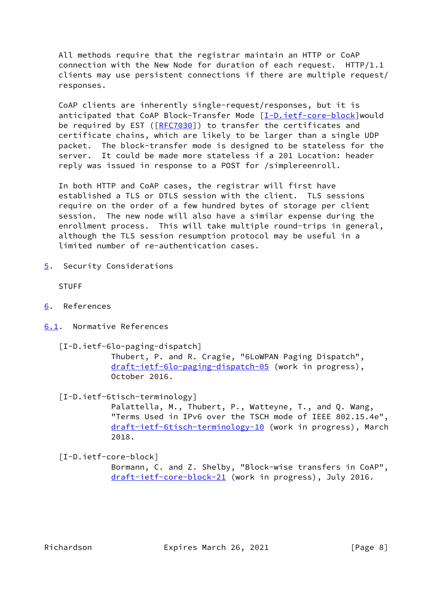All methods require that the registrar maintain an HTTP or CoAP connection with the New Node for duration of each request. HTTP/1.1 clients may use persistent connections if there are multiple request/ responses.

 CoAP clients are inherently single-request/responses, but it is anticipated that CoAP Block-Transfer Mode [[I-D.ietf-core-block](#page-8-5)]would be required by EST ([\[RFC7030](https://datatracker.ietf.org/doc/pdf/rfc7030)]) to transfer the certificates and certificate chains, which are likely to be larger than a single UDP packet. The block-transfer mode is designed to be stateless for the server. It could be made more stateless if a 201 Location: header reply was issued in response to a POST for /simplereenroll.

 In both HTTP and CoAP cases, the registrar will first have established a TLS or DTLS session with the client. TLS sessions require on the order of a few hundred bytes of storage per client session. The new node will also have a similar expense during the enrollment process. This will take multiple round-trips in general, although the TLS session resumption protocol may be useful in a limited number of re-authentication cases.

<span id="page-8-0"></span>[5](#page-8-0). Security Considerations

STUFF

- <span id="page-8-1"></span>[6](#page-8-1). References
- <span id="page-8-4"></span><span id="page-8-2"></span>[6.1](#page-8-2). Normative References
	- [I-D.ietf-6lo-paging-dispatch]

 Thubert, P. and R. Cragie, "6LoWPAN Paging Dispatch", [draft-ietf-6lo-paging-dispatch-05](https://datatracker.ietf.org/doc/pdf/draft-ietf-6lo-paging-dispatch-05) (work in progress), October 2016.

<span id="page-8-3"></span>[I-D.ietf-6tisch-terminology]

 Palattella, M., Thubert, P., Watteyne, T., and Q. Wang, "Terms Used in IPv6 over the TSCH mode of IEEE 802.15.4e", [draft-ietf-6tisch-terminology-10](https://datatracker.ietf.org/doc/pdf/draft-ietf-6tisch-terminology-10) (work in progress), March 2018.

<span id="page-8-5"></span>[I-D.ietf-core-block]

 Bormann, C. and Z. Shelby, "Block-wise transfers in CoAP", [draft-ietf-core-block-21](https://datatracker.ietf.org/doc/pdf/draft-ietf-core-block-21) (work in progress), July 2016.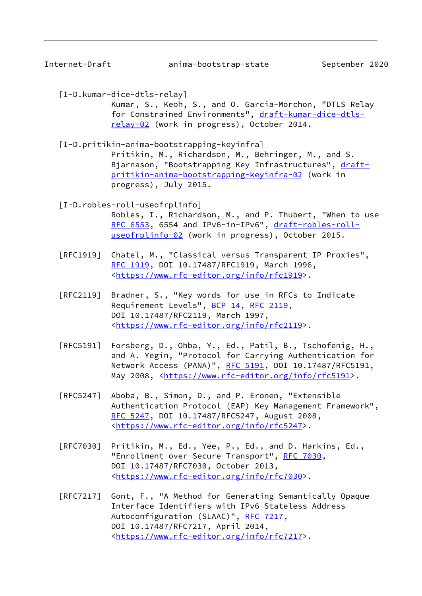Internet-Draft anima-bootstrap-state September 2020

<span id="page-9-1"></span>[I-D.kumar-dice-dtls-relay]

 Kumar, S., Keoh, S., and O. Garcia-Morchon, "DTLS Relay for Constrained Environments", [draft-kumar-dice-dtls](https://datatracker.ietf.org/doc/pdf/draft-kumar-dice-dtls-relay-02) [relay-02](https://datatracker.ietf.org/doc/pdf/draft-kumar-dice-dtls-relay-02) (work in progress), October 2014.

<span id="page-9-0"></span>[I-D.pritikin-anima-bootstrapping-keyinfra]

 Pritikin, M., Richardson, M., Behringer, M., and S. Bjarnason, "Bootstrapping Key Infrastructures", [draft](https://datatracker.ietf.org/doc/pdf/draft-pritikin-anima-bootstrapping-keyinfra-02) [pritikin-anima-bootstrapping-keyinfra-02](https://datatracker.ietf.org/doc/pdf/draft-pritikin-anima-bootstrapping-keyinfra-02) (work in progress), July 2015.

<span id="page-9-2"></span>[I-D.robles-roll-useofrplinfo]

 Robles, I., Richardson, M., and P. Thubert, "When to use [RFC 6553,](https://datatracker.ietf.org/doc/pdf/rfc6553) 6554 and IPv6-in-IPv6", [draft-robles-roll](https://datatracker.ietf.org/doc/pdf/draft-robles-roll-useofrplinfo-02) [useofrplinfo-02](https://datatracker.ietf.org/doc/pdf/draft-robles-roll-useofrplinfo-02) (work in progress), October 2015.

- [RFC1919] Chatel, M., "Classical versus Transparent IP Proxies", [RFC 1919,](https://datatracker.ietf.org/doc/pdf/rfc1919) DOI 10.17487/RFC1919, March 1996, <[https://www.rfc-editor.org/info/rfc1919>](https://www.rfc-editor.org/info/rfc1919).
- [RFC2119] Bradner, S., "Key words for use in RFCs to Indicate Requirement Levels", [BCP 14](https://datatracker.ietf.org/doc/pdf/bcp14), [RFC 2119](https://datatracker.ietf.org/doc/pdf/rfc2119), DOI 10.17487/RFC2119, March 1997, <[https://www.rfc-editor.org/info/rfc2119>](https://www.rfc-editor.org/info/rfc2119).
- [RFC5191] Forsberg, D., Ohba, Y., Ed., Patil, B., Tschofenig, H., and A. Yegin, "Protocol for Carrying Authentication for Network Access (PANA)", [RFC 5191,](https://datatracker.ietf.org/doc/pdf/rfc5191) DOI 10.17487/RFC5191, May 2008, [<https://www.rfc-editor.org/info/rfc5191](https://www.rfc-editor.org/info/rfc5191)>.
- [RFC5247] Aboba, B., Simon, D., and P. Eronen, "Extensible Authentication Protocol (EAP) Key Management Framework", [RFC 5247,](https://datatracker.ietf.org/doc/pdf/rfc5247) DOI 10.17487/RFC5247, August 2008, <[https://www.rfc-editor.org/info/rfc5247>](https://www.rfc-editor.org/info/rfc5247).
- [RFC7030] Pritikin, M., Ed., Yee, P., Ed., and D. Harkins, Ed., "Enrollment over Secure Transport", [RFC 7030,](https://datatracker.ietf.org/doc/pdf/rfc7030) DOI 10.17487/RFC7030, October 2013, <[https://www.rfc-editor.org/info/rfc7030>](https://www.rfc-editor.org/info/rfc7030).
- [RFC7217] Gont, F., "A Method for Generating Semantically Opaque Interface Identifiers with IPv6 Stateless Address Autoconfiguration (SLAAC)", [RFC 7217,](https://datatracker.ietf.org/doc/pdf/rfc7217) DOI 10.17487/RFC7217, April 2014, <[https://www.rfc-editor.org/info/rfc7217>](https://www.rfc-editor.org/info/rfc7217).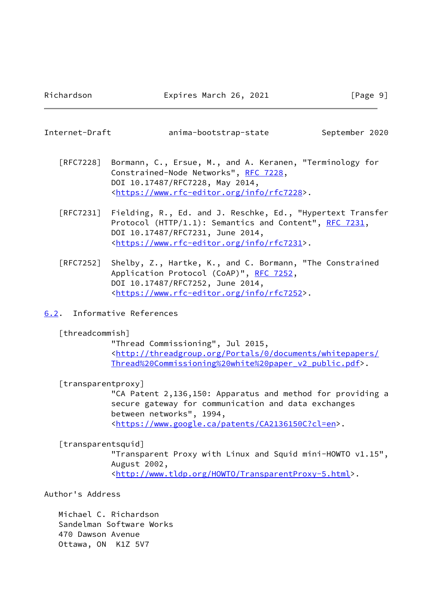<span id="page-10-1"></span>Internet-Draft anima-bootstrap-state September 2020

- [RFC7228] Bormann, C., Ersue, M., and A. Keranen, "Terminology for Constrained-Node Networks", [RFC 7228,](https://datatracker.ietf.org/doc/pdf/rfc7228) DOI 10.17487/RFC7228, May 2014, <[https://www.rfc-editor.org/info/rfc7228>](https://www.rfc-editor.org/info/rfc7228).
- [RFC7231] Fielding, R., Ed. and J. Reschke, Ed., "Hypertext Transfer Protocol (HTTP/1.1): Semantics and Content", [RFC 7231](https://datatracker.ietf.org/doc/pdf/rfc7231), DOI 10.17487/RFC7231, June 2014, <[https://www.rfc-editor.org/info/rfc7231>](https://www.rfc-editor.org/info/rfc7231).
- [RFC7252] Shelby, Z., Hartke, K., and C. Bormann, "The Constrained Application Protocol (CoAP)", [RFC 7252](https://datatracker.ietf.org/doc/pdf/rfc7252), DOI 10.17487/RFC7252, June 2014, <[https://www.rfc-editor.org/info/rfc7252>](https://www.rfc-editor.org/info/rfc7252).
- <span id="page-10-0"></span>[6.2](#page-10-0). Informative References

## <span id="page-10-2"></span>[threadcommish]

 "Thread Commissioning", Jul 2015, <[http://threadgroup.org/Portals/0/documents/whitepapers/](http://threadgroup.org/Portals/0/documents/whitepapers/Thread%20Commissioning%20white%20paper_v2_public.pdf) [Thread%20Commissioning%20white%20paper\\_v2\\_public.pdf>](http://threadgroup.org/Portals/0/documents/whitepapers/Thread%20Commissioning%20white%20paper_v2_public.pdf).

<span id="page-10-3"></span>[transparentproxy]

 "CA Patent 2,136,150: Apparatus and method for providing a secure gateway for communication and data exchanges between networks", 1994, <<https://www.google.ca/patents/CA2136150C?cl=en>>.

## <span id="page-10-4"></span>[transparentsquid]

 "Transparent Proxy with Linux and Squid mini-HOWTO v1.15", August 2002, <[http://www.tldp.org/HOWTO/TransparentProxy-5.html>](http://www.tldp.org/HOWTO/TransparentProxy-5.html).

Author's Address

 Michael C. Richardson Sandelman Software Works 470 Dawson Avenue Ottawa, ON K1Z 5V7